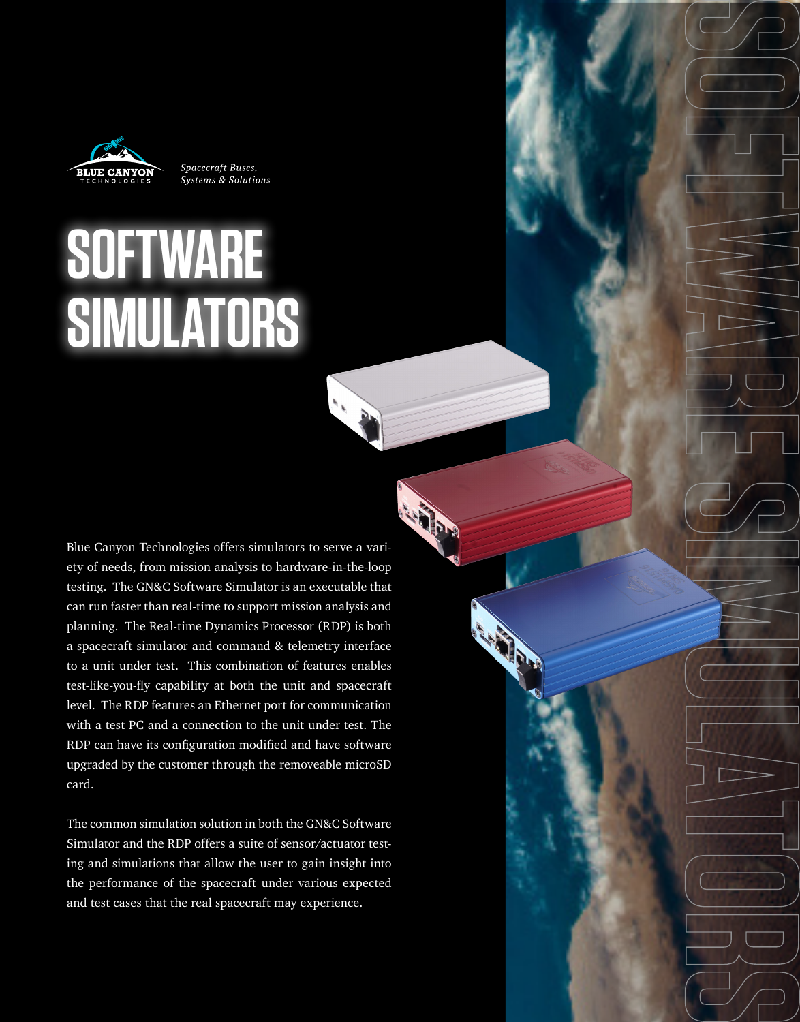

Spacecraft Buses, Systems & Solutions

## **SOFTWARE SIMULATORS**

Blue Canyon Technologies offers simulators to serve a variety of needs, from mission analysis to hardware-in-the-loop testing. The GN&C Software Simulator is an executable that can run faster than real-time to support mission analysis and planning. The Real-time Dynamics Processor (RDP) is both a spacecraft simulator and command & telemetry interface to a unit under test. This combination of features enables test-like-you-fly capability at both the unit and spacecraft level. The RDP features an Ethernet port for communication with a test PC and a connection to the unit under test. The RDP can have its configuration modified and have software upgraded by the customer through the removeable microSD card.

The common simulation solution in both the GN&C Software Simulator and the RDP offers a suite of sensor/actuator testing and simulations that allow the user to gain insight into the performance of the spacecraft under various expected and test cases that the real spacecraft may experience.